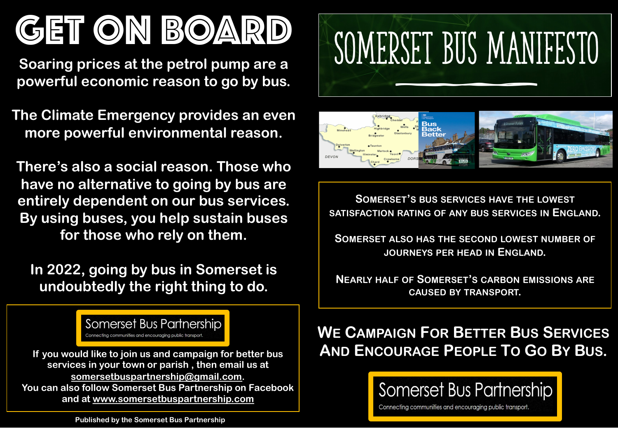# GET ON BOARD

**Soaring prices at the petrol pump are a powerful economic reason to go by bus.**

**The Climate Emergency provides an even more powerful environmental reason.**

**There's also a social reason. Those who have no alternative to going by bus are entirely dependent on our bus services. By using buses, you help sustain buses for those who rely on them.**

**In 2022, going by bus in Somerset is undoubtedly the right thing to do.**

> Somerset Bus Partnership Connecting communities and encouraging public transport.

**services in your town or parish , then email us at somersetbuspartnership@gmail.com. You can also follow Somerset Bus Partnership on Facebook and at www.somersetbuspartnership.com**





**SOMERSET'S BUS SERVICES HAVE THE LOWEST SATISFACTION RATING OF ANY BUS SERVICES IN ENGLAND.**

**SOMERSET ALSO HAS THE SECOND LOWEST NUMBER OF JOURNEYS PER HEAD IN ENGLAND.**

**NEARLY HALF OF SOMERSET'S CARBON EMISSIONS ARE CAUSED BY TRANSPORT.**

### **WE CAMPAIGN FOR BETTER BUS SERVICES If you would like to join us and campaign for better bus AND ENCOURAGE PEOPLE TO GO BY BUS.**



Connecting communities and encouraging public transport.